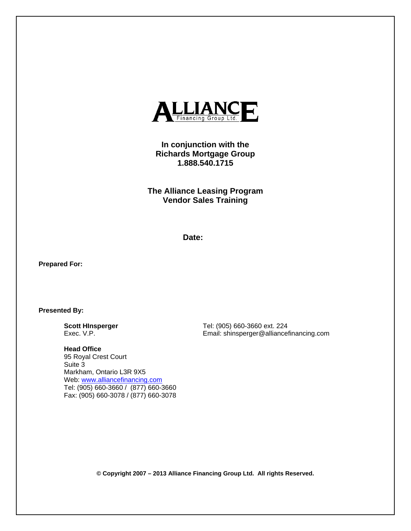

# **In conjunction with the Richards Mortgage Group 1.888.540.1715**

**The Alliance Leasing Program Vendor Sales Training** 

**Date:** 

**Prepared For:** 

**Presented By:** 

**Scott HInsperger**  Exec. V.P.

Tel: (905) 660-3660 ext. 224 Email: shinsperger@alliancefinancing.com

**Head Office**  95 Royal Crest Court Suite 3 Markham, Ontario L3R 9X5 Web: www.alliancefinancing.com Tel: (905) 660-3660 / (877) 660-3660 Fax: (905) 660-3078 / (877) 660-3078

**© Copyright 2007 – 2013 Alliance Financing Group Ltd. All rights Reserved.**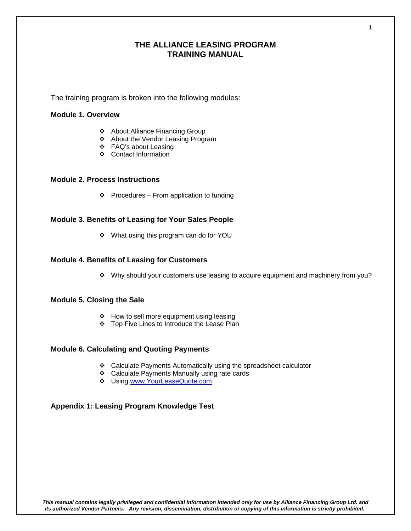## **THE ALLIANCE LEASING PROGRAM TRAINING MANUAL**

The training program is broken into the following modules:

### **Module 1. Overview**

- ◆ About Alliance Financing Group
- About the Vendor Leasing Program
- FAQ's about Leasing
- Contact Information

### **Module 2. Process Instructions**

 $\div$  Procedures – From application to funding

### **Module 3. Benefits of Leasing for Your Sales People**

What using this program can do for YOU

### **Module 4. Benefits of Leasing for Customers**

Why should your customers use leasing to acquire equipment and machinery from you?

### **Module 5. Closing the Sale**

- $\div$  How to sell more equipment using leasing
- Top Five Lines to Introduce the Lease Plan

### **Module 6. Calculating and Quoting Payments**

- Calculate Payments Automatically using the spreadsheet calculator
- Calculate Payments Manually using rate cards
- Using www.YourLeaseQuote.com

### **Appendix 1: Leasing Program Knowledge Test**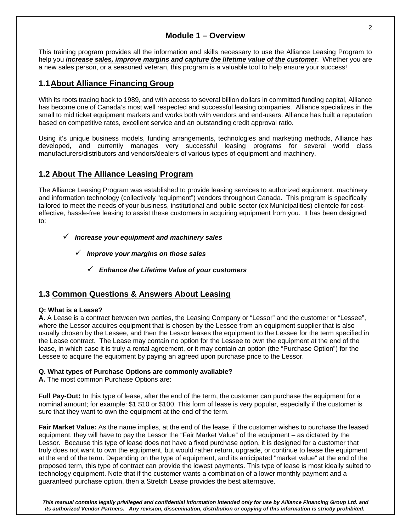# **Module 1 – Overview**

This training program provides all the information and skills necessary to use the Alliance Leasing Program to help you *increase sales, improve margins and capture the lifetime value of the customer*. Whether you are a new sales person, or a seasoned veteran, this program is a valuable tool to help ensure your success!

# **1.1 About Alliance Financing Group**

With its roots tracing back to 1989, and with access to several billion dollars in committed funding capital, Alliance has become one of Canada's most well respected and successful leasing companies. Alliance specializes in the small to mid ticket equipment markets and works both with vendors and end-users. Alliance has built a reputation based on competitive rates, excellent service and an outstanding credit approval ratio.

Using it's unique business models, funding arrangements, technologies and marketing methods, Alliance has developed, and currently manages very successful leasing programs for several world class manufacturers/distributors and vendors/dealers of various types of equipment and machinery.

# **1.2 About The Alliance Leasing Program**

The Alliance Leasing Program was established to provide leasing services to authorized equipment, machinery and information technology (collectively "equipment") vendors throughout Canada. This program is specifically tailored to meet the needs of your business, institutional and public sector (ex Municipalities) clientele for costeffective, hassle-free leasing to assist these customers in acquiring equipment from you. It has been designed to:

### *Increase your equipment and machinery sales*

- *Improve your margins on those sales* 
	- *Enhance the Lifetime Value of your customers*

# **1.3 Common Questions & Answers About Leasing**

### **Q: What is a Lease?**

**A.** A Lease is a contract between two parties, the Leasing Company or "Lessor" and the customer or "Lessee", where the Lessor acquires equipment that is chosen by the Lessee from an equipment supplier that is also usually chosen by the Lessee, and then the Lessor leases the equipment to the Lessee for the term specified in the Lease contract. The Lease may contain no option for the Lessee to own the equipment at the end of the lease, in which case it is truly a rental agreement, or it may contain an option (the "Purchase Option") for the Lessee to acquire the equipment by paying an agreed upon purchase price to the Lessor.

### **Q. What types of Purchase Options are commonly available?**

**A.** The most common Purchase Options are:

**Full Pay-Out:** In this type of lease, after the end of the term, the customer can purchase the equipment for a nominal amount; for example: \$1 \$10 or \$100. This form of lease is very popular, especially if the customer is sure that they want to own the equipment at the end of the term.

**Fair Market Value:** As the name implies, at the end of the lease, if the customer wishes to purchase the leased equipment, they will have to pay the Lessor the "Fair Market Value" of the equipment – as dictated by the Lessor. Because this type of lease does not have a fixed purchase option, it is designed for a customer that truly does not want to own the equipment, but would rather return, upgrade, or continue to lease the equipment at the end of the term. Depending on the type of equipment, and its anticipated "market value" at the end of the proposed term, this type of contract can provide the lowest payments. This type of lease is most ideally suited to technology equipment. Note that if the customer wants a combination of a lower monthly payment and a guaranteed purchase option, then a Stretch Lease provides the best alternative.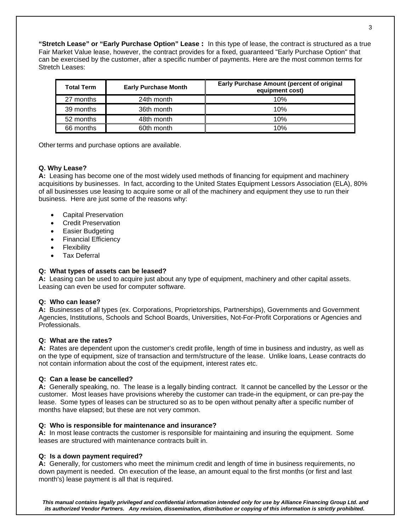**"Stretch Lease" or "Early Purchase Option" Lease :** In this type of lease, the contract is structured as a true Fair Market Value lease, however, the contract provides for a fixed, guaranteed "Early Purchase Option" that can be exercised by the customer, after a specific number of payments. Here are the most common terms for Stretch Leases:

| <b>Total Term</b> | <b>Early Purchase Month</b> | <b>Early Purchase Amount (percent of original</b><br>equipment cost) |  |  |
|-------------------|-----------------------------|----------------------------------------------------------------------|--|--|
| 27 months         | 24th month                  | 10%                                                                  |  |  |
| 39 months         | 36th month                  | 10%                                                                  |  |  |
| 52 months         | 48th month                  | 10%                                                                  |  |  |
| 66 months         | 60th month                  | 10%                                                                  |  |  |

Other terms and purchase options are available.

#### **Q. Why Lease?**

**A:** Leasing has become one of the most widely used methods of financing for equipment and machinery acquisitions by businesses. In fact, according to the United States Equipment Lessors Association (ELA), 80% of all businesses use leasing to acquire some or all of the machinery and equipment they use to run their business. Here are just some of the reasons why:

- Capital Preservation
- Credit Preservation
- Easier Budgeting
- Financial Efficiency
- Flexibility
- Tax Deferral

#### **Q: What types of assets can be leased?**

**A:** Leasing can be used to acquire just about any type of equipment, machinery and other capital assets. Leasing can even be used for computer software.

#### **Q: Who can lease?**

**A:** Businesses of all types (ex. Corporations, Proprietorships, Partnerships), Governments and Government Agencies, Institutions, Schools and School Boards, Universities, Not-For-Profit Corporations or Agencies and Professionals.

#### **Q: What are the rates?**

**A:** Rates are dependent upon the customer's credit profile, length of time in business and industry, as well as on the type of equipment, size of transaction and term/structure of the lease. Unlike loans, Lease contracts do not contain information about the cost of the equipment, interest rates etc.

#### **Q: Can a lease be cancelled?**

**A:** Generally speaking, no. The lease is a legally binding contract. It cannot be cancelled by the Lessor or the customer. Most leases have provisions whereby the customer can trade-in the equipment, or can pre-pay the lease. Some types of leases can be structured so as to be open without penalty after a specific number of months have elapsed; but these are not very common.

#### **Q: Who is responsible for maintenance and insurance?**

**A:** In most lease contracts the customer is responsible for maintaining and insuring the equipment. Some leases are structured with maintenance contracts built in.

#### **Q: Is a down payment required?**

**A:** Generally, for customers who meet the minimum credit and length of time in business requirements, no down payment is needed. On execution of the lease, an amount equal to the first months (or first and last month's) lease payment is all that is required.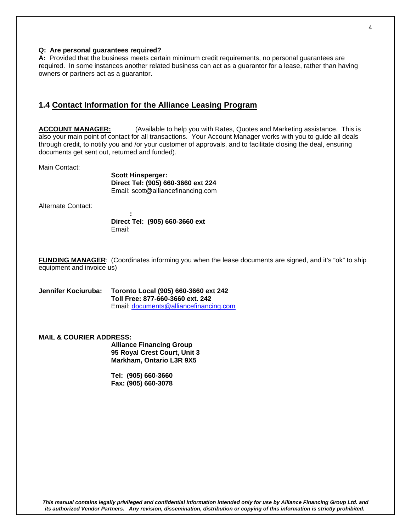#### **Q: Are personal guarantees required?**

**A:** Provided that the business meets certain minimum credit requirements, no personal guarantees are required. In some instances another related business can act as a guarantor for a lease, rather than having owners or partners act as a guarantor.

### **1.4 Contact Information for the Alliance Leasing Program**

**ACCOUNT MANAGER:** (Available to help you with Rates, Quotes and Marketing assistance. This is also your main point of contact for all transactions. Your Account Manager works with you to guide all deals through credit, to notify you and /or your customer of approvals, and to facilitate closing the deal, ensuring documents get sent out, returned and funded).

Main Contact:

**Scott Hinsperger: Direct Tel: (905) 660-3660 ext 224** Email: scott@alliancefinancing.com

Alternate Contact:

 **: Direct Tel: (905) 660-3660 ext**  Email:

**FUNDING MANAGER**: (Coordinates informing you when the lease documents are signed, and it's "ok" to ship equipment and invoice us)

**Jennifer Kociuruba: Toronto Local (905) 660-3660 ext 242 Toll Free: 877-660-3660 ext. 242**  Email: documents@alliancefinancing.com

#### **MAIL & COURIER ADDRESS:**

**Alliance Financing Group 95 Royal Crest Court, Unit 3 Markham, Ontario L3R 9X5** 

 **Tel: (905) 660-3660 Fax: (905) 660-3078** 

4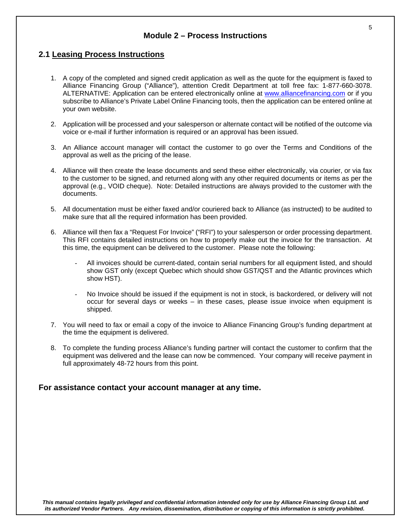## **Module 2 – Process Instructions**

### **2.1 Leasing Process Instructions**

- 1. A copy of the completed and signed credit application as well as the quote for the equipment is faxed to Alliance Financing Group ("Alliance"), attention Credit Department at toll free fax: 1-877-660-3078. ALTERNATIVE: Application can be entered electronically online at www.alliancefinancing.com or if you subscribe to Alliance's Private Label Online Financing tools, then the application can be entered online at your own website.
- 2. Application will be processed and your salesperson or alternate contact will be notified of the outcome via voice or e-mail if further information is required or an approval has been issued.
- 3. An Alliance account manager will contact the customer to go over the Terms and Conditions of the approval as well as the pricing of the lease.
- 4. Alliance will then create the lease documents and send these either electronically, via courier, or via fax to the customer to be signed, and returned along with any other required documents or items as per the approval (e.g., VOID cheque). Note: Detailed instructions are always provided to the customer with the documents.
- 5. All documentation must be either faxed and/or couriered back to Alliance (as instructed) to be audited to make sure that all the required information has been provided.
- 6. Alliance will then fax a "Request For Invoice" ("RFI") to your salesperson or order processing department. This RFI contains detailed instructions on how to properly make out the invoice for the transaction. At this time, the equipment can be delivered to the customer. Please note the following:
	- All invoices should be current-dated, contain serial numbers for all equipment listed, and should show GST only (except Quebec which should show GST/QST and the Atlantic provinces which show HST).
	- No Invoice should be issued if the equipment is not in stock, is backordered, or delivery will not occur for several days or weeks – in these cases, please issue invoice when equipment is shipped.
- 7. You will need to fax or email a copy of the invoice to Alliance Financing Group's funding department at the time the equipment is delivered.
- 8. To complete the funding process Alliance's funding partner will contact the customer to confirm that the equipment was delivered and the lease can now be commenced. Your company will receive payment in full approximately 48-72 hours from this point.

### **For assistance contact your account manager at any time.**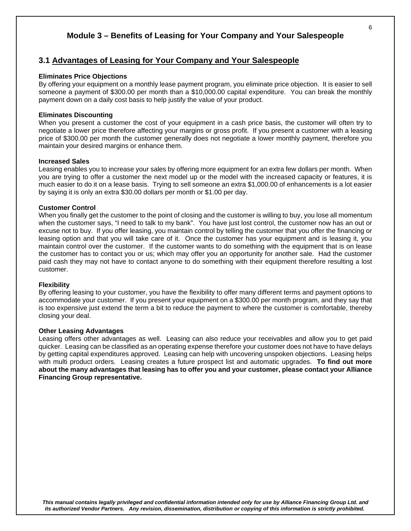# **Module 3 – Benefits of Leasing for Your Company and Your Salespeople**

## **3.1 Advantages of Leasing for Your Company and Your Salespeople**

#### **Eliminates Price Objections**

By offering your equipment on a monthly lease payment program, you eliminate price objection. It is easier to sell someone a payment of \$300.00 per month than a \$10,000.00 capital expenditure. You can break the monthly payment down on a daily cost basis to help justify the value of your product.

#### **Eliminates Discounting**

When you present a customer the cost of your equipment in a cash price basis, the customer will often try to negotiate a lower price therefore affecting your margins or gross profit. If you present a customer with a leasing price of \$300.00 per month the customer generally does not negotiate a lower monthly payment, therefore you maintain your desired margins or enhance them.

#### **Increased Sales**

Leasing enables you to increase your sales by offering more equipment for an extra few dollars per month. When you are trying to offer a customer the next model up or the model with the increased capacity or features, it is much easier to do it on a lease basis. Trying to sell someone an extra \$1,000.00 of enhancements is a lot easier by saying it is only an extra \$30.00 dollars per month or \$1.00 per day.

#### **Customer Control**

When you finally get the customer to the point of closing and the customer is willing to buy, you lose all momentum when the customer says, "I need to talk to my bank". You have just lost control, the customer now has an out or excuse not to buy. If you offer leasing, you maintain control by telling the customer that you offer the financing or leasing option and that you will take care of it. Once the customer has your equipment and is leasing it, you maintain control over the customer. If the customer wants to do something with the equipment that is on lease the customer has to contact you or us; which may offer you an opportunity for another sale. Had the customer paid cash they may not have to contact anyone to do something with their equipment therefore resulting a lost customer.

#### **Flexibility**

By offering leasing to your customer, you have the flexibility to offer many different terms and payment options to accommodate your customer. If you present your equipment on a \$300.00 per month program, and they say that is too expensive just extend the term a bit to reduce the payment to where the customer is comfortable, thereby closing your deal.

#### **Other Leasing Advantages**

Leasing offers other advantages as well. Leasing can also reduce your receivables and allow you to get paid quicker. Leasing can be classified as an operating expense therefore your customer does not have to have delays by getting capital expenditures approved. Leasing can help with uncovering unspoken objections. Leasing helps with multi product orders. Leasing creates a future prospect list and automatic upgrades. **To find out more about the many advantages that leasing has to offer you and your customer, please contact your Alliance Financing Group representative.**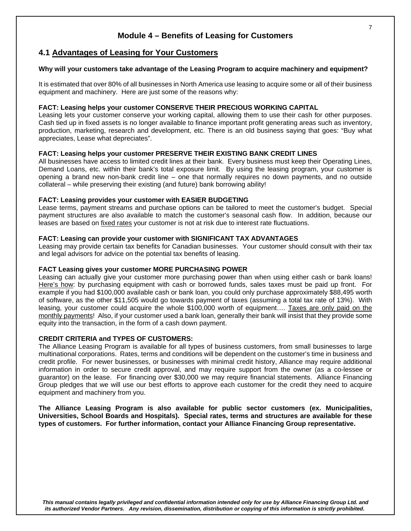# **Module 4 – Benefits of Leasing for Customers**

### **4.1 Advantages of Leasing for Your Customers**

#### **Why will your customers take advantage of the Leasing Program to acquire machinery and equipment?**

It is estimated that over 80% of all businesses in North America use leasing to acquire some or all of their business equipment and machinery. Here are just some of the reasons why:

#### **FACT: Leasing helps your customer CONSERVE THEIR PRECIOUS WORKING CAPITAL**

Leasing lets your customer conserve your working capital, allowing them to use their cash for other purposes. Cash tied up in fixed assets is no longer available to finance important profit generating areas such as inventory, production, marketing, research and development, etc. There is an old business saying that goes: "Buy what appreciates, Lease what depreciates".

#### **FACT: Leasing helps your customer PRESERVE THEIR EXISTING BANK CREDIT LINES**

All businesses have access to limited credit lines at their bank. Every business must keep their Operating Lines, Demand Loans, etc. within their bank's total exposure limit. By using the leasing program, your customer is opening a brand new non-bank credit line – one that normally requires no down payments, and no outside collateral – while preserving their existing (and future) bank borrowing ability!

#### **FACT: Leasing provides your customer with EASIER BUDGETING**

Lease terms, payment streams and purchase options can be tailored to meet the customer's budget. Special payment structures are also available to match the customer's seasonal cash flow. In addition, because our leases are based on fixed rates your customer is not at risk due to interest rate fluctuations.

#### **FACT: Leasing can provide your customer with SIGNIFICANT TAX ADVANTAGES**

Leasing may provide certain tax benefits for Canadian businesses. Your customer should consult with their tax and legal advisors for advice on the potential tax benefits of leasing.

#### **FACT Leasing gives your customer MORE PURCHASING POWER**

Leasing can actually give your customer more purchasing power than when using either cash or bank loans! Here's how: by purchasing equipment with cash or borrowed funds, sales taxes must be paid up front. For example if you had \$100,000 available cash or bank loan, you could only purchase approximately \$88,495 worth of software, as the other \$11,505 would go towards payment of taxes (assuming a total tax rate of 13%). With leasing, your customer could acquire the whole \$100,000 worth of equipment.... Taxes are only paid on the monthly payments! Also, if your customer used a bank loan, generally their bank will insist that they provide some equity into the transaction, in the form of a cash down payment.

#### **CREDIT CRITERIA and TYPES OF CUSTOMERS:**

The Alliance Leasing Program is available for all types of business customers, from small businesses to large multinational corporations. Rates, terms and conditions will be dependent on the customer's time in business and credit profile. For newer businesses, or businesses with minimal credit history, Alliance may require additional information in order to secure credit approval, and may require support from the owner (as a co-lessee or guarantor) on the lease. For financing over \$30,000 we may require financial statements. Alliance Financing Group pledges that we will use our best efforts to approve each customer for the credit they need to acquire equipment and machinery from you.

**The Alliance Leasing Program is also available for public sector customers (ex. Municipalities, Universities, School Boards and Hospitals). Special rates, terms and structures are available for these types of customers. For further information, contact your Alliance Financing Group representative.**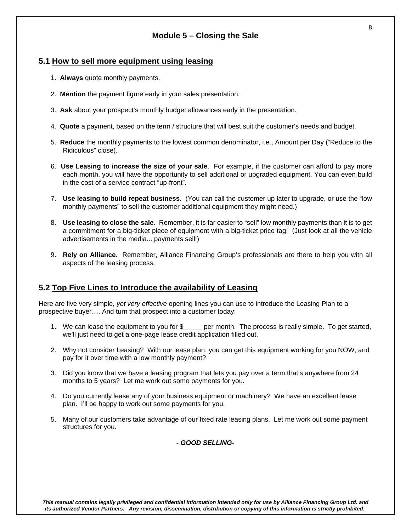# **Module 5 – Closing the Sale**

## **5.1 How to sell more equipment using leasing**

- 1. **Always** quote monthly payments.
- 2. **Mention** the payment figure early in your sales presentation.
- 3. **Ask** about your prospect's monthly budget allowances early in the presentation.
- 4. **Quote** a payment, based on the term / structure that will best suit the customer's needs and budget.
- 5. **Reduce** the monthly payments to the lowest common denominator, i.e., Amount per Day ("Reduce to the Ridiculous" close).
- 6. **Use Leasing to increase the size of your sale**. For example, if the customer can afford to pay more each month, you will have the opportunity to sell additional or upgraded equipment. You can even build in the cost of a service contract "up-front".
- 7. **Use leasing to build repeat business**. (You can call the customer up later to upgrade, or use the "low monthly payments" to sell the customer additional equipment they might need.)
- 8. **Use leasing to close the sale**. Remember, it is far easier to "sell" low monthly payments than it is to get a commitment for a big-ticket piece of equipment with a big-ticket price tag! (Just look at all the vehicle advertisements in the media... payments sell!)
- 9. **Rely on Alliance**. Remember, Alliance Financing Group's professionals are there to help you with all aspects of the leasing process.

# **5.2 Top Five Lines to Introduce the availability of Leasing**

Here are five very simple, *yet very effective* opening lines you can use to introduce the Leasing Plan to a prospective buyer…. And turn that prospect into a customer today:

- 1. We can lease the equipment to you for \$\_\_\_\_\_ per month. The process is really simple. To get started, we'll just need to get a one-page lease credit application filled out.
- 2. Why not consider Leasing? With our lease plan, you can get this equipment working for you NOW, and pay for it over time with a low monthly payment?
- 3. Did you know that we have a leasing program that lets you pay over a term that's anywhere from 24 months to 5 years? Let me work out some payments for you.
- 4. Do you currently lease any of your business equipment or machinery? We have an excellent lease plan. I'll be happy to work out some payments for you.
- 5. Many of our customers take advantage of our fixed rate leasing plans. Let me work out some payment structures for you.

*- GOOD SELLING-*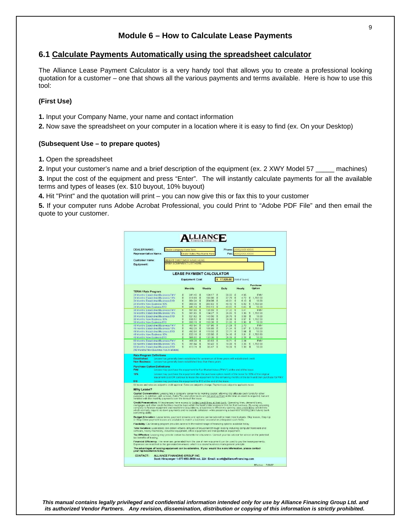## **Module 6 – How to Calculate Lease Payments**

### **6.1 Calculate Payments Automatically using the spreadsheet calculator**

The Alliance Lease Payment Calculator is a very handy tool that allows you to create a professional looking quotation for a customer – one that shows all the various payments and terms available. Here is how to use this tool:

#### **(First Use)**

**1.** Input your Company Name, your name and contact information

**2.** Now save the spreadsheet on your computer in a location where it is easy to find (ex. On your Desktop)

#### **(Subsequent Use – to prepare quotes)**

**1.** Open the spreadsheet

**2.** Input your customer's name and a brief description of the equipment (ex. 2 XWY Model 57 \_\_\_\_\_ machines) **3.** Input the cost of the equipment and press "Enter". The will instantly calculate payments for all the available terms and types of leases (ex. \$10 buyout, 10% buyout)

**4.** Hit "Print" and the quotation will print – you can now give this or fax this to your customer

**5.** If your computer runs Adobe Acrobat Professional, you could Print to "Adobe PDF File" and then email the quote to your customer.

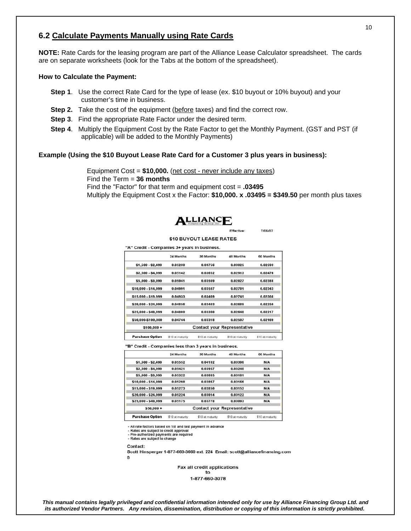# **6.2 Calculate Payments Manually using Rate Cards**

**NOTE:** Rate Cards for the leasing program are part of the Alliance Lease Calculator spreadsheet. The cards are on separate worksheets (look for the Tabs at the bottom of the spreadsheet).

#### **How to Calculate the Payment:**

- **Step 1**. Use the correct Rate Card for the type of lease (ex. \$10 buyout or 10% buyout) and your customer's time in business.
- **Step 2.** Take the cost of the equipment (before taxes) and find the correct row.
- **Step 3**. Find the appropriate Rate Factor under the desired term.
- **Step 4**. Multiply the Equipment Cost by the Rate Factor to get the Monthly Payment. (GST and PST (if applicable) will be added to the Monthly Payments)

#### **Example (Using the \$10 Buyout Lease Rate Card for a Customer 3 plus years in business):**

 Equipment Cost = **\$10,000.** (net cost - never include any taxes) Find the Term = **36 months** Find the "Factor" for that term and equipment cost = **.03495** Multiply the Equipment Cost x the Factor: **\$10,000. x .03495 = \$349.50** per month plus taxes



Effective: 7/06/07

#### \$10 BUYOUT LEASE RATES

| 24 Months | 36 Months | 48 Months | 60 Months                          |
|-----------|-----------|-----------|------------------------------------|
| 0.05238   | 0.03756   | 0.03025   | 0.02593                            |
| 0.05142   | 0.03652   | 0.02913   | 0.02476                            |
| 0.05041   | 0.03569   | 0.02827   | 0.02388                            |
| 0.04991   | 0.03507   | 0.02781   | 0.02343                            |
| 0.04933   | 0.03469   | 0.02745   | 0.02308                            |
| 0.04856   | 0.03403   | 0.02689   | 0.02250                            |
| 0.04800   | 0.03360   | 0.02648   | 0.02217                            |
| 0.04744   | 0.03318   | 0.02597   | 0.02169                            |
|           |           |           |                                    |
|           |           |           | <b>Contact your Representative</b> |

"B" Credit - Companies less than 3 years in business.

"A" Credit - Companies 3+ years in business.

|                        | 24 Months        | 36 Months        | 48 Months                          | 60 Months        |
|------------------------|------------------|------------------|------------------------------------|------------------|
| $$1,500 - $2,499$      | 0.05552          | 0.04102          | 0.03396                            | N/A              |
| \$2,500 - \$4,999      | 0.05421          | 0.03957          | 0.03240                            | <b>N/A</b>       |
| \$5,000 - \$9,999      | 0.05322          | 0.03885          | 0.03181                            | <b>N/A</b>       |
| \$10,000 - \$14,999    | 0.05298          | 0.03867          | 0.03166                            | <b>N/A</b>       |
| \$15,000 - \$19,999    | 0.05273          | 0.03850          | 0.03152                            | <b>N/A</b>       |
| \$20,000 - \$24,999    | 0.05224          | 0.03814          | 0.03122                            | <b>N/A</b>       |
| \$25,000 - \$49,999    | 0.05175          | 0.03778          | 0.03093                            | <b>N/A</b>       |
| $$50,000 +$            |                  |                  | <b>Contact your Representative</b> |                  |
| <b>Purchase Option</b> | \$10 at maturity | \$10 at maturity | \$10 at maturity                   | \$10 at maturity |

- All rate factors based on 1st and last payment in advance

- Air tale factors based on Tal and last p<br>- Rates are subject to credit approval<br>- Pre-authorized payments are required

- Rates are subject to change

Contact:

Scott Hinsperger 1-877-660-3660 ext. 224 Email: scott@alliancefinancing.com  $\Omega$ 

> Fax all credit applications to 1-877-660-3078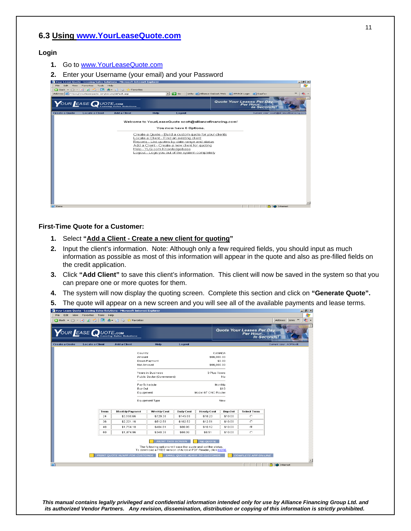## **6.3 Using www.YourLeaseQuote.com**

#### **Login**

- **1.** Go to www.YourLeaseQuote.com
- **2.** Enter your Username (your email) and your Password



#### **First-Time Quote for a Customer:**

- **1.** Select **"Add a Client Create a new client for quoting"**
- **2.** Input the client's information. Note: Although only a few required fields, you should input as much information as possible as most of this information will appear in the quote and also as pre-filled fields on the credit application.
- **3.** Click **"Add Client"** to save this client's information. This client will now be saved in the system so that you can prepare one or more quotes for them.
- **4.** The system will now display the quoting screen. Complete this section and click on **"Generate Quote".**
- **5.** The quote will appear on a new screen and you will see all of the available payments and lease terms.

|                       | VOUR EASE QUOTE.com    |      |                        |                    |                            |                   |                       |                | <b>Quote Your Leases Per Day.</b><br>Per Hour<br>In Seconds! |                               |  |
|-----------------------|------------------------|------|------------------------|--------------------|----------------------------|-------------------|-----------------------|----------------|--------------------------------------------------------------|-------------------------------|--|
| <b>Create a Quote</b> | <b>Locate a Client</b> |      | <b>Add a Client</b>    |                    | Help                       | Logout            |                       |                |                                                              | <b>Current User: ACPScott</b> |  |
|                       |                        |      |                        | Country:<br>Amount |                            |                   | CANADA<br>\$66,000.00 |                |                                                              |                               |  |
|                       |                        |      |                        |                    | Down Payment               |                   |                       | \$0.00         |                                                              |                               |  |
|                       |                        |      |                        | Net Amount         |                            |                   | \$66,000.00           |                |                                                              |                               |  |
|                       |                        |      |                        |                    | Years in Business          |                   | 3 Plus Years          |                |                                                              |                               |  |
|                       |                        |      |                        |                    | Public Sector (Government) |                   |                       | No             |                                                              |                               |  |
|                       |                        |      |                        | Pay Schedule       |                            |                   |                       | Monthly        |                                                              |                               |  |
|                       |                        |      |                        | Buy Out            |                            |                   |                       | \$10           |                                                              |                               |  |
|                       |                        |      |                        | Equipment          |                            |                   | Model 67 CNC Router   |                |                                                              |                               |  |
|                       |                        |      |                        |                    | Equipment Type             |                   |                       | New            |                                                              |                               |  |
|                       |                        | Term | <b>Monthly Payment</b> |                    | <b>Weekly Cost</b>         | <b>Daily Cost</b> | <b>Hourly Cost</b>    | <b>Buy-Out</b> | <b>Select Term</b>                                           |                               |  |
|                       |                        | 24   | \$3,160.66             |                    | \$729.38                   | \$145.88          | \$18.23               | \$10.00        | $\circ$                                                      |                               |  |
|                       |                        | 36   | \$2,221.16             |                    | \$512.58                   | \$102.52          | \$12.81               | \$10.00        | $\circ$                                                      |                               |  |
|                       |                        | 48   | \$1,754.18             |                    | \$404.81                   | \$80.96           | \$10.12               | \$10.00        | $\epsilon$                                                   |                               |  |
|                       |                        | 60   | \$1,474.96             |                    | \$340.38                   | \$68.08           | \$8.51                | \$10.00        | $\circ$                                                      |                               |  |
|                       |                        |      |                        |                    |                            |                   |                       |                |                                                              |                               |  |
|                       |                        |      |                        |                    | <b>PRINT THIS SCREEN</b>   |                   | <b>RE-QUOTE</b>       |                |                                                              |                               |  |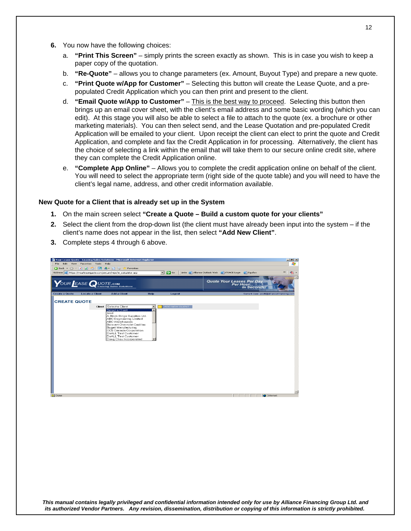- **6.** You now have the following choices:
	- a. **"Print This Screen"** simply prints the screen exactly as shown. This is in case you wish to keep a paper copy of the quotation.
	- b. **"Re-Quote"** allows you to change parameters (ex. Amount, Buyout Type) and prepare a new quote.
	- c. **"Print Quote w/App for Customer"**  Selecting this button will create the Lease Quote, and a prepopulated Credit Application which you can then print and present to the client.
	- d. **"Email Quote w/App to Customer"** This is the best way to proceed. Selecting this button then brings up an email cover sheet, with the client's email address and some basic wording (which you can edit). At this stage you will also be able to select a file to attach to the quote (ex. a brochure or other marketing materials). You can then select send, and the Lease Quotation and pre-populated Credit Application will be emailed to your client. Upon receipt the client can elect to print the quote and Credit Application, and complete and fax the Credit Application in for processing. Alternatively, the client has the choice of selecting a link within the email that will take them to our secure online credit site, where they can complete the Credit Application online.
	- e. **"Complete App Online"** Allows you to complete the credit application online on behalf of the client. You will need to select the appropriate term (right side of the quote table) and you will need to have the client's legal name, address, and other credit information available.

#### **New Quote for a Client that is already set up in the System**

- **1.** On the main screen select **"Create a Quote Build a custom quote for your clients"**
- **2.** Select the client from the drop-down list (the client must have already been input into the system if the client's name does not appear in the list, then select **"Add New Client"**.
- **3.** Complete steps 4 through 6 above.

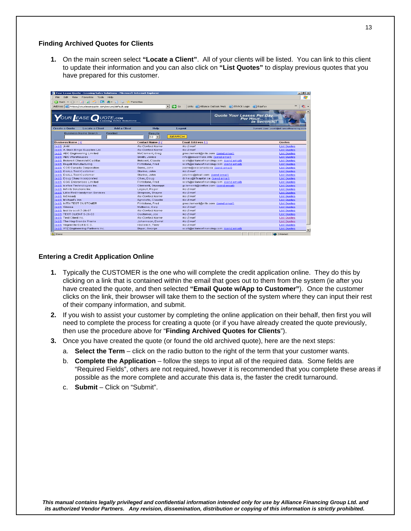#### **Finding Archived Quotes for Clients**

**1.** On the main screen select **"Locate a Client"**. All of your clients will be listed. You can link to this client to update their information and you can also click on **"List Quotes"** to display previous quotes that you have prepared for this customer.

|                                    |                                                         | Your Lease Quote - Leasing Sales Solutions - Microsoft Internet Explorer |                          |                                         |                                                                    | $-10x$                                    |
|------------------------------------|---------------------------------------------------------|--------------------------------------------------------------------------|--------------------------|-----------------------------------------|--------------------------------------------------------------------|-------------------------------------------|
| File<br>Edit<br><b>View</b>        | Favorites Tools                                         | Help                                                                     |                          |                                         |                                                                    |                                           |
|                                    |                                                         | Favorites                                                                |                          |                                         |                                                                    |                                           |
|                                    | Address   https://yourleasequote.com/secure/default.asp |                                                                          |                          | $\vert \cdot \vert$<br>$\Rightarrow$ Go | Links (B) Alliance Outlook Web (B) ITRACK Login (B) Equifax        | $\rightarrow$                             |
|                                    | YOUR EASE QUOTE.com                                     | Leasing Sales Solutions                                                  |                          |                                         | <b>Quote Your Leases Per Day</b><br>Per Hour<br><b>In Seconds!</b> |                                           |
| <b>Create a Quote</b>              | <b>Locate a Client</b>                                  | <b>Add a Client</b>                                                      | <b>Help</b>              | Logout                                  |                                                                    | Current User: soott@allianoefinancing.com |
|                                    | <b>Business Name Search</b>                             | Freetext                                                                 | <b>Results</b><br>$50 -$ | <b>SEARCH</b>                           |                                                                    |                                           |
| <b>Business Name ∆ V</b>           |                                                         |                                                                          | <b>Contact Name AV</b>   | Email Address AV                        |                                                                    | Quotes                                    |
| (edit) :kkkl                       |                                                         |                                                                          | No Contact Name          | No Email                                |                                                                    | <b>List Quotes</b>                        |
| (edit) A. Bock Bingo Supplies Ltd. |                                                         |                                                                          | No Contact Name          | No Email                                |                                                                    | <b>List Quotes</b>                        |
| (edit) ABC Engineering Limited     |                                                         |                                                                          | McClement, Grea          | gmcclement@nitix.com (send email)       |                                                                    | <b>List Quotes</b>                        |
| (edit) ABC Warehouses              |                                                         |                                                                          | Smith, Janice            | info@powermate.info (send email)        |                                                                    | <b>List Quotes</b>                        |
| (edit) Boisvert Chevrolet Cadillac |                                                         |                                                                          | Boisvert, Claude         |                                         | scott@alliancefinancing.com (send email)                           | <b>List Quotes</b>                        |
| (edit) Bugati Manufacturing        |                                                         |                                                                          | Flintstone, Fred         |                                         | scott@alliancefinancing.com (send email)                           | <b>List Quotes</b>                        |
| (edit) CCS Canada Corporation      |                                                         |                                                                          | Serre, John              | jserre@ccscanada.ca (send email)        |                                                                    | <b>List Quotes</b>                        |
| (edit) DoALL Test Customer         |                                                         |                                                                          | Sturino, John            | No Email                                |                                                                    | <b>List Quotes</b>                        |
| (edit) DoALL Test Customer         |                                                         |                                                                          | Sturino, John            | isturino@doall.com (send email)         |                                                                    | <b>List Quotes</b>                        |
| (edit) Doug Chau Incorporated      |                                                         |                                                                          | Chau, Doug               | dchau@liftcapital.ca (send email)       |                                                                    | <b>List Quotes</b>                        |
| (edit) GGG Enterprises Limited     |                                                         |                                                                          | Flintstone, Fred         |                                         | scott@alliancefinancing.com (send email)                           | <b>List Quotes</b>                        |
| (edit) icefloe Technologies Inc.   |                                                         |                                                                          | Clementi, Giuseppi       | gclementi@icefloe.com (send email)      |                                                                    | <b>List Quotes</b>                        |
| (edit) Infinity Solutions Inc.     |                                                         |                                                                          | Legault, Roger           | No Email                                |                                                                    | <b>List Quotes</b>                        |
|                                    | (edit) Little Red Handyman Services                     |                                                                          | Simpson, Shayne          | No Email                                |                                                                    | <b>List Quotes</b>                        |
| (edit) Isfilksadi                  |                                                         |                                                                          | No Contact Name          | No Email                                |                                                                    | <b>List Quotes</b>                        |
| (edit) Michael's Inn               |                                                         |                                                                          | Agnoletto, Claudio       | No Email                                |                                                                    | <b>List Quotes</b>                        |
| (edit) NITIX TEST CUSTOMER         |                                                         |                                                                          | Flintstone, Fred         | qmcclement@nitix.com (send email)       |                                                                    | <b>List Quotes</b>                        |
| (edit) Sinosa                      |                                                         |                                                                          | Mattocks, Gary           | No Email                                |                                                                    | <b>List Quotes</b>                        |
| (edit) test by scott 7-26-07       |                                                         |                                                                          | No Contact Name          | No Email                                |                                                                    | <b>List Quotes</b>                        |
| (edit) TEST CLIENT 5-26-03         |                                                         |                                                                          | Customer, Joe            | No Email                                |                                                                    | <b>List Quotes</b>                        |
| (edit) Test Client Inc.            |                                                         |                                                                          | No Contact Name          | No Email                                |                                                                    | <b>List Quotes</b>                        |
| (edit) The Keg Grande Prairie      |                                                         |                                                                          | Johannson, Darrel        | No Email                                |                                                                    | <b>List Quotes</b>                        |
| (edit) Vegreville Golf & C.C.      |                                                         |                                                                          | Kisilevich, Terry        | No Email                                |                                                                    | <b>List Quotes</b>                        |
|                                    | (edit) XYZ Engineering Partners Inc.                    |                                                                          | Buyer, George            |                                         | scott@alliancefinancing.com (send email)                           | <b>List Quotes</b>                        |

#### **Entering a Credit Application Online**

- **1.** Typically the CUSTOMER is the one who will complete the credit application online. They do this by clicking on a link that is contained within the email that goes out to them from the system (ie after you have created the quote, and then selected **"Email Quote w/App to Customer"**). Once the customer clicks on the link, their browser will take them to the section of the system where they can input their rest of their company information, and submit.
- **2.** If you wish to assist your customer by completing the online application on their behalf, then first you will need to complete the process for creating a quote (or if you have already created the quote previously, then use the procedure above for "**Finding Archived Quotes for Clients**").
- **3.** Once you have created the quote (or found the old archived quote), here are the next steps:
	- a. **Select the Term** click on the radio button to the right of the term that your customer wants.
	- b. **Complete the Application** follow the steps to input all of the required data. Some fields are "Required Fields", others are not required, however it is recommended that you complete these areas if possible as the more complete and accurate this data is, the faster the credit turnaround.
	- c. **Submit**  Click on "Submit".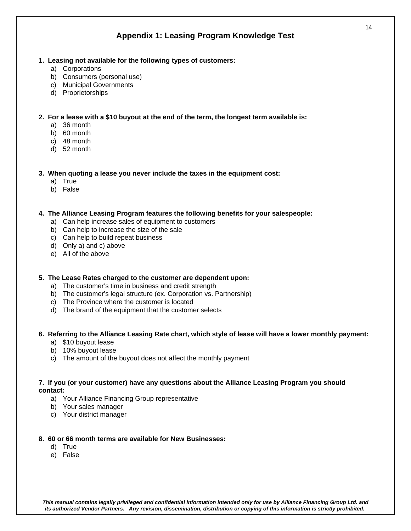# **Appendix 1: Leasing Program Knowledge Test**

- **1. Leasing not available for the following types of customers:** 
	- a) Corporations
	- b) Consumers (personal use)
	- c) Municipal Governments
	- d) Proprietorships

**2. For a lease with a \$10 buyout at the end of the term, the longest term available is:** 

- a) 36 month
- b) 60 month
- c) 48 month
- d) 52 month

**3. When quoting a lease you never include the taxes in the equipment cost:** 

- a) True
- b) False

**4. The Alliance Leasing Program features the following benefits for your salespeople:** 

- a) Can help increase sales of equipment to customers
- b) Can help to increase the size of the sale
- c) Can help to build repeat business
- d) Only a) and c) above
- e) All of the above
- **5. The Lease Rates charged to the customer are dependent upon:** 
	- a) The customer's time in business and credit strength
	- b) The customer's legal structure (ex. Corporation vs. Partnership)
	- c) The Province where the customer is located
	- d) The brand of the equipment that the customer selects

#### **6. Referring to the Alliance Leasing Rate chart, which style of lease will have a lower monthly payment:**

- a) \$10 buyout lease
- b) 10% buyout lease
- c) The amount of the buyout does not affect the monthly payment

### **7. If you (or your customer) have any questions about the Alliance Leasing Program you should contact:**

- a) Your Alliance Financing Group representative
- b) Your sales manager
- c) Your district manager

#### **8. 60 or 66 month terms are available for New Businesses:**

- d) True
- e) False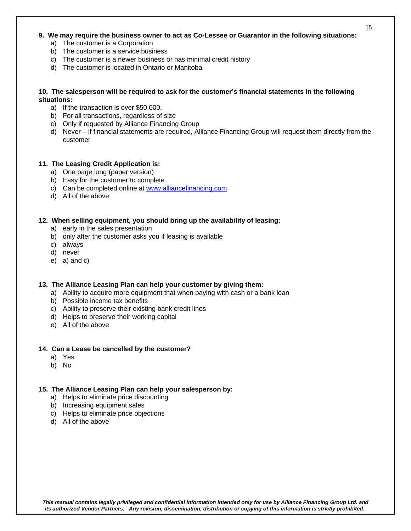### **9. We may require the business owner to act as Co-Lessee or Guarantor in the following situations:**

- a) The customer is a Corporation
- b) The customer is a service business
- c) The customer is a newer business or has minimal credit history
- d) The customer is located in Ontario or Manitoba

### **10. The salesperson will be required to ask for the customer's financial statements in the following situations:**

- a) If the transaction is over \$50,000.
- b) For all transactions, regardless of size
- c) Only if requested by Alliance Financing Group
- d) Never if financial statements are required, Alliance Financing Group will request them directly from the customer

### **11. The Leasing Credit Application is:**

- a) One page long (paper version)
- b) Easy for the customer to complete
- c) Can be completed online at www.alliancefinancing.com
- d) All of the above

### **12. When selling equipment, you should bring up the availability of leasing:**

- a) early in the sales presentation
- b) only after the customer asks you if leasing is available
- c) always
- d) never
- e) a) and c)

### **13. The Alliance Leasing Plan can help your customer by giving them:**

- a) Ability to acquire more equipment that when paying with cash or a bank loan
- b) Possible income tax benefits
- c) Ability to preserve their existing bank credit lines
- d) Helps to preserve their working capital
- e) All of the above

#### **14. Can a Lease be cancelled by the customer?**

- a) Yes
- b) No

#### **15. The Alliance Leasing Plan can help your salesperson by:**

- a) Helps to eliminate price discounting
- b) Increasing equipment sales
- c) Helps to eliminate price objections
- d) All of the above